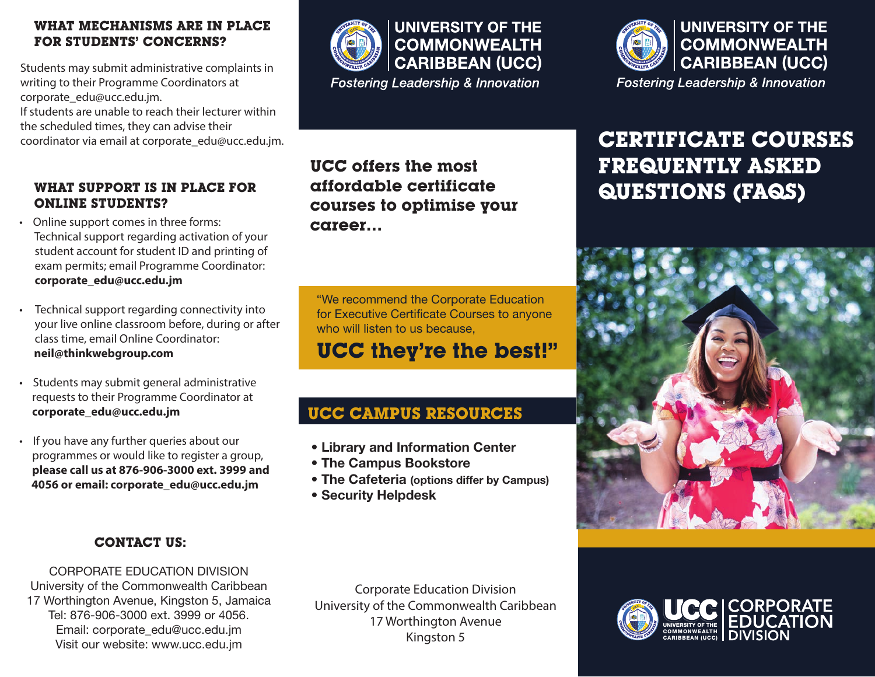#### **WHAT MECHANISMS ARE IN PLACE FOR STUDENTS' CONCERNS?**

Students may submit administrative complaints in writing to their Programme Coordinators at corporate\_edu@ucc.edu.jm.

If students are unable to reach their lecturer within the scheduled times, they can advise their coordinator via email at corporate\_edu@ucc.edu.jm.

#### **WHAT SUPPORT IS IN PLACE FOR ONLINE STUDENTS?**

- Online support comes in three forms: Technical support regarding activation of your student account for student ID and printing of exam permits; email Programme Coordinator: **corporate\_edu@ucc.edu.jm**
- Technical support regarding connectivity into your live online classroom before, during or after class time, email Online Coordinator:  **neil@thinkwebgroup.com**
- Students may submit general administrative requests to their Programme Coordinator at **corporate\_edu@ucc.edu.jm**
- If you have any further queries about our programmes or would like to register a group, **please call us at 876-906-3000 ext. 3999 and 4056 or email: corporate\_edu@ucc.edu.jm**

#### **CONTACT US:**

CORPORATE EDUCATION DIVISION University of the Commonwealth Caribbean 17 Worthington Avenue, Kingston 5, Jamaica Tel: 876-906-3000 ext. 3999 or 4056. Email: corporate\_edu@ucc.edu.jm Visit our website: www.ucc.edu.jm



**Fostering Leadership & Innovation** 

## **UCC offers the most affordable certificate courses to optimise your career…**

"We recommend the Corporate Education for Executive Certificate Courses to anyone who will listen to us because.

## **UCC they're the best!"**

## **UCC CAMPUS RESOURCES**

- Library and Information Center
- The Campus Bookstore
- The Cafeteria (options differ by Campus)
- Security Helpdesk



# **CERTIFICATE COURSES FREQUENTLY ASKED QUESTIONS (FAQS)**



Corporate Education Division University of the Commonwealth Caribbean 17 Worthington Avenue Kingston 5